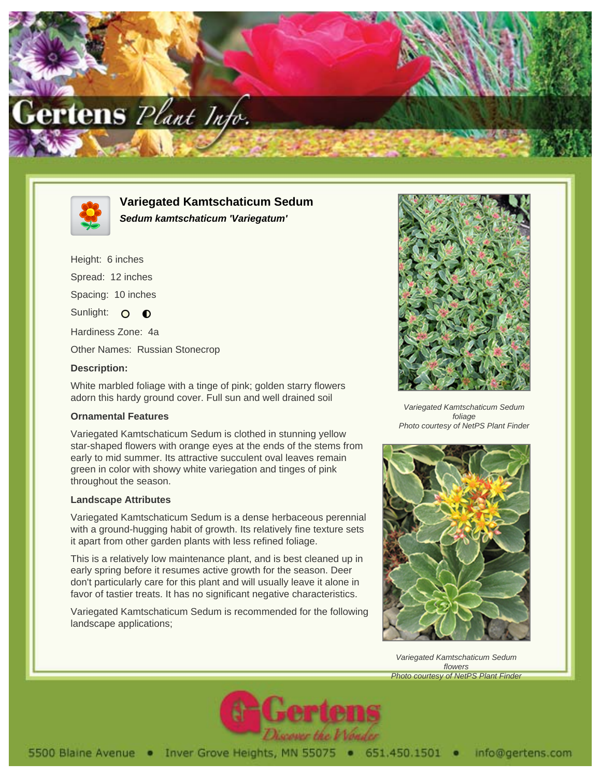



**Variegated Kamtschaticum Sedum Sedum kamtschaticum 'Variegatum'**

Height: 6 inches Spread: 12 inches

Spacing: 10 inches

Sunlight: O  $\bullet$ 

Hardiness Zone: 4a

Other Names: Russian Stonecrop

## **Description:**

White marbled foliage with a tinge of pink; golden starry flowers adorn this hardy ground cover. Full sun and well drained soil

## **Ornamental Features**

Variegated Kamtschaticum Sedum is clothed in stunning yellow star-shaped flowers with orange eyes at the ends of the stems from early to mid summer. Its attractive succulent oval leaves remain green in color with showy white variegation and tinges of pink throughout the season.

## **Landscape Attributes**

Variegated Kamtschaticum Sedum is a dense herbaceous perennial with a ground-hugging habit of growth. Its relatively fine texture sets it apart from other garden plants with less refined foliage.

This is a relatively low maintenance plant, and is best cleaned up in early spring before it resumes active growth for the season. Deer don't particularly care for this plant and will usually leave it alone in favor of tastier treats. It has no significant negative characteristics.

Variegated Kamtschaticum Sedum is recommended for the following landscape applications;



Variegated Kamtschaticum Sedum foliage Photo courtesy of NetPS Plant Finder



Variegated Kamtschaticum Sedum flowers Photo courtesy of NetPS Plant Finder